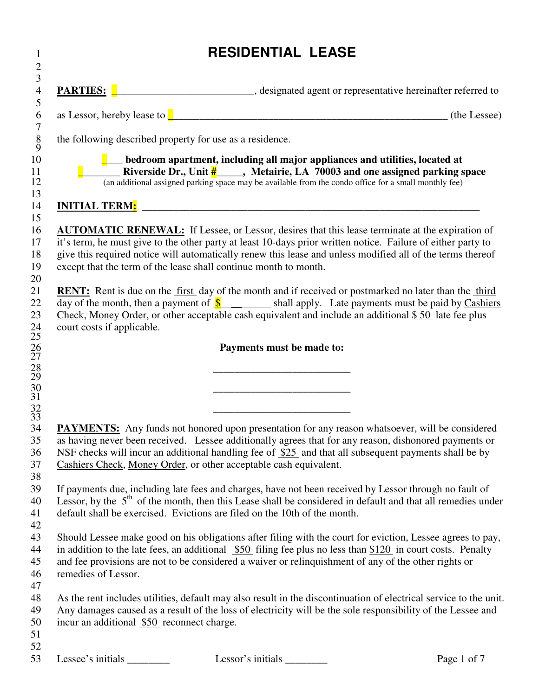|                                            | <b>RESIDENTIAL LEASE</b>                                                                                                                                                                                                                                                                                                                                                                                 |              |
|--------------------------------------------|----------------------------------------------------------------------------------------------------------------------------------------------------------------------------------------------------------------------------------------------------------------------------------------------------------------------------------------------------------------------------------------------------------|--------------|
|                                            | <b>PARTIES:</b> <u>Designated</u> agent or representative hereinafter referred to                                                                                                                                                                                                                                                                                                                        |              |
|                                            |                                                                                                                                                                                                                                                                                                                                                                                                          | (the Lessee) |
|                                            | the following described property for use as a residence.                                                                                                                                                                                                                                                                                                                                                 |              |
|                                            | $\Box$ bedroom apartment, including all major appliances and utilities, located at<br>Riverside Dr., Unit $\frac{H}{t}$ , Metairie, LA 70003 and one assigned parking space<br>(an additional assigned parking space may be available from the condo office for a small monthly fee)                                                                                                                     |              |
|                                            | <u>INITIAL TERM: with a set of the set of the set of the set of the set of the set of the set of the set of the set of the set of the set of the set of the set of the set of the set of the set of the set of the set of the se</u>                                                                                                                                                                     |              |
|                                            | <b>AUTOMATIC RENEWAL:</b> If Lessee, or Lessor, desires that this lease terminate at the expiration of<br>it's term, he must give to the other party at least 10-days prior written notice. Failure of either party to<br>give this required notice will automatically renew this lease and unless modified all of the terms thereof<br>except that the term of the lease shall continue month to month. |              |
| court costs if applicable.                 | RENT: Rent is due on the first day of the month and if received or postmarked no later than the third<br>day of the month, then a payment of $\frac{\S}{\S}$ shall apply. Late payments must be paid by Cashiers<br>Check, Money Order, or other acceptable cash equivalent and include an additional $$50$ late fee plus                                                                                |              |
|                                            | Payments must be made to:                                                                                                                                                                                                                                                                                                                                                                                |              |
|                                            |                                                                                                                                                                                                                                                                                                                                                                                                          |              |
|                                            |                                                                                                                                                                                                                                                                                                                                                                                                          |              |
|                                            |                                                                                                                                                                                                                                                                                                                                                                                                          |              |
|                                            | <b>PAYMENTS:</b> Any funds not honored upon presentation for any reason whatsoever, will be considered<br>as having never been received. Lessee additionally agrees that for any reason, dishonored payments or<br>NSF checks will incur an additional handling fee of \$25 and that all subsequent payments shall be by<br>Cashiers Check, Money Order, or other acceptable cash equivalent.            |              |
|                                            | If payments due, including late fees and charges, have not been received by Lessor through no fault of                                                                                                                                                                                                                                                                                                   |              |
|                                            | Lessor, by the $5th$ of the month, then this Lease shall be considered in default and that all remedies under<br>default shall be exercised. Evictions are filed on the 10th of the month.                                                                                                                                                                                                               |              |
|                                            | Should Lessee make good on his obligations after filing with the court for eviction, Lessee agrees to pay,                                                                                                                                                                                                                                                                                               |              |
|                                            | in addition to the late fees, an additional $$50$ filing fee plus no less than $$120$ in court costs. Penalty                                                                                                                                                                                                                                                                                            |              |
| remedies of Lessor.                        | and fee provisions are not to be considered a waiver or relinquishment of any of the other rights or                                                                                                                                                                                                                                                                                                     |              |
|                                            | As the rent includes utilities, default may also result in the discontinuation of electrical service to the unit.                                                                                                                                                                                                                                                                                        |              |
| incur an additional \$50 reconnect charge. | Any damages caused as a result of the loss of electricity will be the sole responsibility of the Lessee and                                                                                                                                                                                                                                                                                              |              |
| Lessee's initials _                        | Lessor's initials                                                                                                                                                                                                                                                                                                                                                                                        | Page 1 of 7  |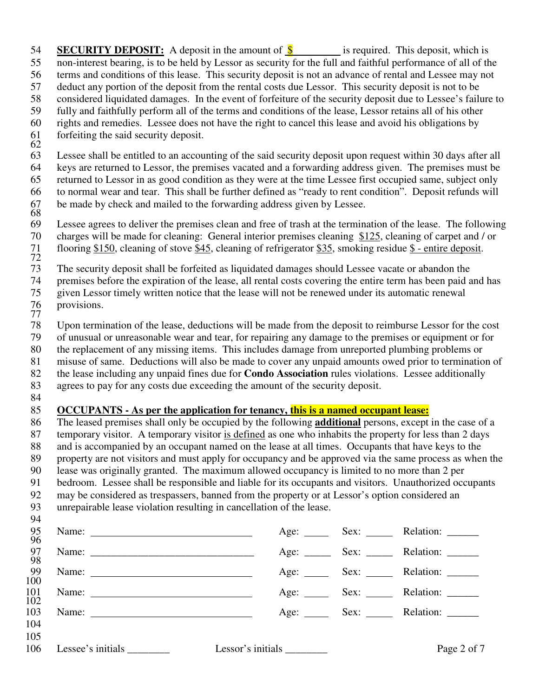54 **SECURITY DEPOSIT:** A deposit in the amount of  $\frac{\$}{\$}$  is required. This deposit, which is 55 non-interest bearing, is to be held by Lessor as security for the full and faithful performance of all of the 56 terms and conditions of this lease. This security deposit is not an advance of rental and Lessee may not 57 deduct any portion of the deposit from the rental costs due Lessor. This security deposit is not to be 58 considered liquidated damages. In the event of forfeiture of the security deposit due to Lessee's failure to 59 fully and faithfully perform all of the terms and conditions of the lease, Lessor retains all of his other 60 rights and remedies. Lessee does not have the right to cancel this lease and avoid his obligations by 61 forfeiting the said security deposit. 62 63 Lessee shall be entitled to an accounting of the said security deposit upon request within 30 days after all 64 keys are returned to Lessor, the premises vacated and a forwarding address given. The premises must be 65 returned to Lessor in as good condition as they were at the time Lessee first occupied same, subject only 66 to normal wear and tear. This shall be further defined as "ready to rent condition". Deposit refunds will be made by check and mailed to the forwarding address given by Lessee. 67<br>68<br>69 Lessee agrees to deliver the premises clean and free of trash at the termination of the lease. The following 70 charges will be made for cleaning: General interior premises cleaning \$125, cleaning of carpet and / or 71 flooring \$150, cleaning of stove \$45, cleaning of refrigerator \$35, smoking residue \$ - entire deposit.  $\frac{71}{72}$ <br>73 The security deposit shall be forfeited as liquidated damages should Lessee vacate or abandon the 74 premises before the expiration of the lease, all rental costs covering the entire term has been paid and has 75 given Lessor timely written notice that the lease will not be renewed under its automatic renewal provisions. 76<br>77 78 Upon termination of the lease, deductions will be made from the deposit to reimburse Lessor for the cost 79 of unusual or unreasonable wear and tear, for repairing any damage to the premises or equipment or for 80 the replacement of any missing items. This includes damage from unreported plumbing problems or 81 misuse of same. Deductions will also be made to cover any unpaid amounts owed prior to termination of 82 the lease including any unpaid fines due for **Condo Association** rules violations. Lessee additionally 83 agrees to pay for any costs due exceeding the amount of the security deposit. 84 85 **OCCUPANTS - As per the application for tenancy, this is a named occupant lease:** 86 The leased premises shall only be occupied by the following **additional** persons, except in the case of a 87 temporary visitor. A temporary visitor is defined as one who inhabits the property for less than 2 days 88 and is accompanied by an occupant named on the lease at all times. Occupants that have keys to the 89 property are not visitors and must apply for occupancy and be approved via the same process as when the 90 lease was originally granted. The maximum allowed occupancy is limited to no more than 2 per 91 bedroom. Lessee shall be responsible and liable for its occupants and visitors. Unauthorized occupants 92 may be considered as trespassers, banned from the property or at Lessor's option considered an

93 unrepairable lease violation resulting in cancellation of the lease. 94

| 95<br>96          | Name: $\frac{1}{\sqrt{1-\frac{1}{2}} \cdot \frac{1}{2}}$                                                                                                                                                                                                                                                                                                                                                          |                      | Age: Sex: Relation: ______ |
|-------------------|-------------------------------------------------------------------------------------------------------------------------------------------------------------------------------------------------------------------------------------------------------------------------------------------------------------------------------------------------------------------------------------------------------------------|----------------------|----------------------------|
| 97<br>98          |                                                                                                                                                                                                                                                                                                                                                                                                                   | Age: $\qquad \qquad$ |                            |
| -99<br>100        | Name: $\frac{1}{\sqrt{1-\frac{1}{2}} \cdot \frac{1}{2}}$                                                                                                                                                                                                                                                                                                                                                          |                      | Age: Sex: Relation: _____  |
| $\frac{101}{102}$ | Name: $\frac{1}{\sqrt{1-\frac{1}{2}} \cdot \frac{1}{2}}$                                                                                                                                                                                                                                                                                                                                                          |                      | Age: Sex: Relation: ______ |
| 103<br>104        | Name: $\frac{1}{\sqrt{1-\frac{1}{2}} \cdot \frac{1}{2}}$                                                                                                                                                                                                                                                                                                                                                          |                      | Age: Sex: Relation: _____  |
| 105<br>106        | Lessee's initials $\frac{1}{\sqrt{1-\frac{1}{\sqrt{1-\frac{1}{\sqrt{1-\frac{1}{\sqrt{1-\frac{1}{\sqrt{1-\frac{1}{\sqrt{1-\frac{1}{\sqrt{1-\frac{1}{\sqrt{1-\frac{1}{\sqrt{1-\frac{1}{\sqrt{1-\frac{1}{\sqrt{1-\frac{1}{\sqrt{1-\frac{1}{\sqrt{1-\frac{1}{\sqrt{1-\frac{1}{\sqrt{1-\frac{1}{\sqrt{1-\frac{1}{\sqrt{1-\frac{1}{\sqrt{1-\frac{1}{\sqrt{1-\frac{1}{\sqrt{1-\frac{1}{\sqrt{1-\frac{1}{\sqrt{1-\frac{1$ |                      | Page 2 of 7                |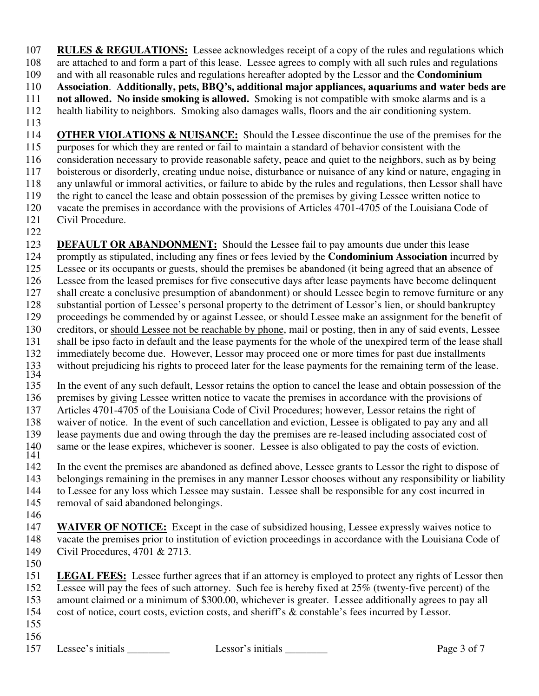107 **RULES & REGULATIONS:** Lessee acknowledges receipt of a copy of the rules and regulations which 108 are attached to and form a part of this lease. Lessee agrees to comply with all such rules and regulations 109 and with all reasonable rules and regulations hereafter adopted by the Lessor and the **Condominium** and with all reasonable rules and regulations hereafter adopted by the Lessor and the **Condominium** 110 **Association**. **Additionally, pets, BBQ's, additional major appliances, aquariums and water beds are**  111 **not allowed. No inside smoking is allowed.** Smoking is not compatible with smoke alarms and is a 112 health liability to neighbors. Smoking also damages walls, floors and the air conditioning system. 113 114 **OTHER VIOLATIONS & NUISANCE:** Should the Lessee discontinue the use of the premises for the 115 purposes for which they are rented or fail to maintain a standard of behavior consistent with the 116 consideration necessary to provide reasonable safety, peace and quiet to the neighbors, such as by being 117 boisterous or disorderly, creating undue noise, disturbance or nuisance of any kind or nature, engaging in 118 any unlawful or immoral activities, or failure to abide by the rules and regulations, then Lessor shall have 119 the right to cancel the lease and obtain possession of the premises by giving Lessee written notice to

- 120 vacate the premises in accordance with the provisions of Articles 4701-4705 of the Louisiana Code of 121 Civil Procedure.
- 122

123 **DEFAULT OR ABANDONMENT:** Should the Lessee fail to pay amounts due under this lease 124 promptly as stipulated, including any fines or fees levied by the **Condominium Association** incurred by 125 Lessee or its occupants or guests, should the premises be abandoned (it being agreed that an absence of 126 Lessee from the leased premises for five consecutive days after lease payments have become delinquent 127 shall create a conclusive presumption of abandonment) or should Lessee begin to remove furniture or any 128 substantial portion of Lessee's personal property to the detriment of Lessor's lien, or should bankruptcy 129 proceedings be commended by or against Lessee, or should Lessee make an assignment for the benefit of creditors, or should Lessee not be reachable by phone, mail or posting, then in any of said events. Lessee creditors, or should Lessee not be reachable by phone, mail or posting, then in any of said events, Lessee 131 shall be ipso facto in default and the lease payments for the whole of the unexpired term of the lease shall 132 immediately become due. However, Lessor may proceed one or more times for past due installments 133 without prejudicing his rights to proceed later for the lease payments for the remaining term of the lease. 134

135 In the event of any such default, Lessor retains the option to cancel the lease and obtain possession of the 136 premises by giving Lessee written notice to vacate the premises in accordance with the provisions of 137 Articles 4701-4705 of the Louisiana Code of Civil Procedures; however, Lessor retains the right of 138 waiver of notice. In the event of such cancellation and eviction, Lessee is obligated to pay any and all 139 lease payments due and owing through the day the premises are re-leased including associated cost of same or the lease expires, whichever is sooner. Lessee is also obligated to pay the costs of eviction.  $\frac{140}{141}$ 

142 In the event the premises are abandoned as defined above, Lessee grants to Lessor the right to dispose of 143 belongings remaining in the premises in any manner Lessor chooses without any responsibility or liability 144 to Lessee for any loss which Lessee may sustain. Lessee shall be responsible for any cost incurred in 145 removal of said abandoned belongings.

146

147 **WAIVER OF NOTICE:** Except in the case of subsidized housing, Lessee expressly waives notice to 148 vacate the premises prior to institution of eviction proceedings in accordance with the Louisiana Code of 149 Civil Procedures, 4701 & 2713. 150

- 151 **LEGAL FEES:** Lessee further agrees that if an attorney is employed to protect any rights of Lessor then 152 Lessee will pay the fees of such attorney. Such fee is hereby fixed at 25% (twenty-five percent) of the 153 amount claimed or a minimum of \$300.00, whichever is greater. Lessee additionally agrees to pay all 154 cost of notice, court costs, eviction costs, and sheriff's & constable's fees incurred by Lessor.
- 155
- 156

157 Lessee's initials Lessor's initials Page 3 of 7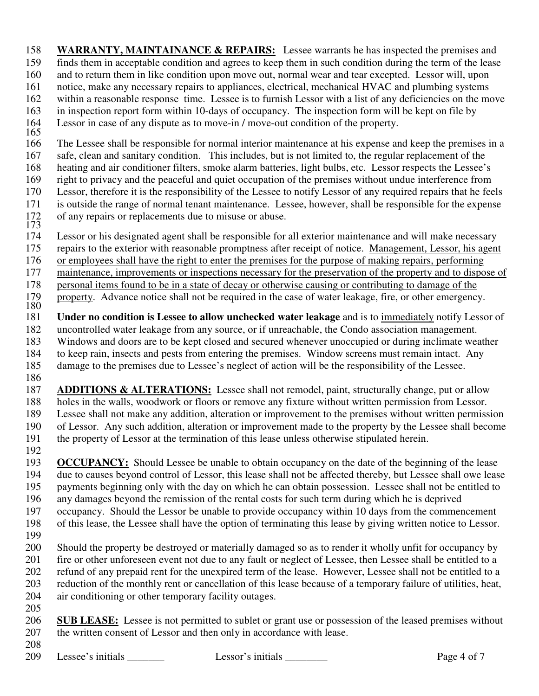158 **WARRANTY, MAINTAINANCE & REPAIRS:** Lessee warrants he has inspected the premises and 159 finds them in acceptable condition and agrees to keep them in such condition during the term of the lease 160 and to return them in like condition upon move out, normal wear and tear excepted. Lessor will, upon 161 notice, make any necessary repairs to appliances, electrical, mechanical HVAC and plumbing systems 162 within a reasonable response time. Lessee is to furnish Lessor with a list of any deficiencies on the move 163 in inspection report form within 10-days of occupancy. The inspection form will be kept on file by 164 Lessor in case of any dispute as to move-in / move-out condition of the property.

165 166 The Lessee shall be responsible for normal interior maintenance at his expense and keep the premises in a 167 safe, clean and sanitary condition. This includes, but is not limited to, the regular replacement of the 168 heating and air conditioner filters, smoke alarm batteries, light bulbs, etc. Lessor respects the Lessee's 169 right to privacy and the peaceful and quiet occupation of the premises without undue interference from

- 170 Lessor, therefore it is the responsibility of the Lessee to notify Lessor of any required repairs that he feels<br>171 is outside the range of normal tenant maintenance. Lessee, however, shall be responsible for the expen
- is outside the range of normal tenant maintenance. Lessee, however, shall be responsible for the expense 172 of any repairs or replacements due to misuse or abuse.
- $\frac{175}{174}$ Lessor or his designated agent shall be responsible for all exterior maintenance and will make necessary
- 175 repairs to the exterior with reasonable promptness after receipt of notice. Management, Lessor, his agent
- 176 or employees shall have the right to enter the premises for the purpose of making repairs, performing
- 177 maintenance, improvements or inspections necessary for the preservation of the property and to dispose of
- 178 personal items found to be in a state of decay or otherwise causing or contributing to damage of the
- property. Advance notice shall not be required in the case of water leakage, fire, or other emergency.  $\frac{179}{180}$

181 **Under no condition is Lessee to allow unchecked water leakage** and is to immediately notify Lessor of 182 uncontrolled water leakage from any source, or if unreachable, the Condo association management. 183 Windows and doors are to be kept closed and secured whenever unoccupied or during inclimate weather

- 184 to keep rain, insects and pests from entering the premises. Window screens must remain intact. Any 185 damage to the premises due to Lessee's neglect of action will be the responsibility of the Lessee.
- 186
- 187 **ADDITIONS & ALTERATIONS:** Lessee shall not remodel, paint, structurally change, put or allow 188 holes in the walls, woodwork or floors or remove any fixture without written permission from Lessor. 189 Lessee shall not make any addition, alteration or improvement to the premises without written permission<br>190 of Lessor. Any such addition, alteration or improvement made to the property by the Lessee shall become of Lessor. Any such addition, alteration or improvement made to the property by the Lessee shall become 191 the property of Lessor at the termination of this lease unless otherwise stipulated herein.
- 192

193 **OCCUPANCY:** Should Lessee be unable to obtain occupancy on the date of the beginning of the lease 194 due to causes beyond control of Lessor, this lease shall not be affected thereby, but Lessee shall owe lease 195 payments beginning only with the day on which he can obtain possession. Lessee shall not be entitled to 196 any damages beyond the remission of the rental costs for such term during which he is deprived 197 occupancy. Should the Lessor be unable to provide occupancy within 10 days from the commencement

- 198 of this lease, the Lessee shall have the option of terminating this lease by giving written notice to Lessor.
- 199

200 Should the property be destroyed or materially damaged so as to render it wholly unfit for occupancy by 201 fire or other unforeseen event not due to any fault or neglect of Lessee, then Lessee shall be entitled to a 202 refund of any prepaid rent for the unexpired term of the lease. However, Lessee shall not be entitled to a 203 reduction of the monthly rent or cancellation of this lease because of a temporary failure of utilities, heat, 204 air conditioning or other temporary facility outages.

|     | 206 SUB LEASE: Lessee is not permitted to sublet or grant use or possession of the leased premises without |
|-----|------------------------------------------------------------------------------------------------------------|
| 207 | the written consent of Lessor and then only in accordance with lease.                                      |

208

205

209 Lessee's initials Lessor's initials Lessor's initials Lesson's initials Page 4 of 7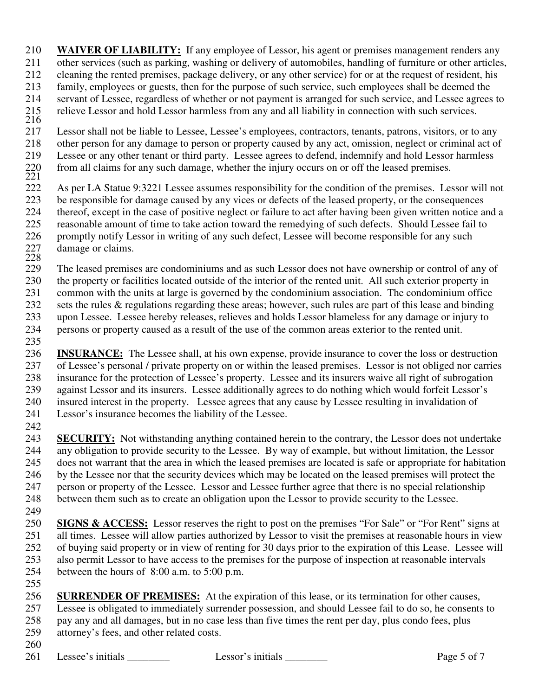210 **WAIVER OF LIABILITY:** If any employee of Lessor, his agent or premises management renders any 211 other services (such as parking, washing or delivery of automobiles, handling of furniture or other articles, 212 cleaning the rented premises, package delivery, or any other service) for or at the request of resident, his 213 family, employees or guests, then for the purpose of such service, such employees shall be deemed the 214 servant of Lessee, regardless of whether or not payment is arranged for such service, and Lessee agrees to relieve Lessor and hold Lessor harmless from any and all liability in connection with such services.

- $\frac{215}{216}$ <br>217 Lessor shall not be liable to Lessee, Lessee's employees, contractors, tenants, patrons, visitors, or to any 218 other person for any damage to person or property caused by any act, omission, neglect or criminal act of<br>219 Lessee or any other tenant or third party. Lessee agrees to defend, indemnify and hold Lessor harmless Lessee or any other tenant or third party. Lessee agrees to defend, indemnify and hold Lessor harmless from all claims for any such damage, whether the injury occurs on or off the leased premises.
- $\frac{220}{221}$ <br>222 222 As per LA Statue 9:3221 Lessee assumes responsibility for the condition of the premises. Lessor will not be responsible for damage caused by any vices or defects of the leased property, or the consequences be responsible for damage caused by any vices or defects of the leased property, or the consequences 224 thereof, except in the case of positive neglect or failure to act after having been given written notice and a<br>225 reasonable amount of time to take action toward the remedving of such defects. Should Lessee fail to 225 reasonable amount of time to take action toward the remedying of such defects. Should Lessee fail to 226 promptly notify Lessor in writing of any such defect, Lessee will become responsible for any such damage or claims. 227<br>228<br>229
- The leased premises are condominiums and as such Lessor does not have ownership or control of any of 230 the property or facilities located outside of the interior of the rented unit. All such exterior property in 231 common with the units at large is governed by the condominium association. The condominium office
- 232 sets the rules & regulations regarding these areas; however, such rules are part of this lease and binding
- 233 upon Lessee. Lessee hereby releases, relieves and holds Lessor blameless for any damage or injury to persons or property caused as a result of the use of the common areas exterior to the rented unit.
- persons or property caused as a result of the use of the common areas exterior to the rented unit. 235
- 236 **INSURANCE:** The Lessee shall, at his own expense, provide insurance to cover the loss or destruction 237 of Lessee's personal / private property on or within the leased premises. Lessor is not obliged nor carries 238 insurance for the protection of Lessee's property. Lessee and its insurers waive all right of subrogation 239 against Lessor and its insurers. Lessee additionally agrees to do nothing which would forfeit Lessor's 240 insured interest in the property. Lessee agrees that any cause by Lessee resulting in invalidation of 241 Lessor's insurance becomes the liability of the Lessee.
- 242
- 243 **SECURITY:** Not withstanding anything contained herein to the contrary, the Lessor does not undertake 244 any obligation to provide security to the Lessee. By way of example, but without limitation, the Lessor 245 does not warrant that the area in which the leased premises are located is safe or appropriate for habitation 246 by the Lessee nor that the security devices which may be located on the leased premises will protect the 247 person or property of the Lessee. Lessor and Lessee further agree that there is no special relationship 248 between them such as to create an obligation upon the Lessor to provide security to the Lessee.
- 249
- 250 **SIGNS & ACCESS:** Lessor reserves the right to post on the premises "For Sale" or "For Rent" signs at 251 all times. Lessee will allow parties authorized by Lessor to visit the premises at reasonable hours in view<br>252 of buving said property or in view of renting for 30 days prior to the expiration of this Lease. Lessee wi 252 of buying said property or in view of renting for 30 days prior to the expiration of this Lease. Lessee will 253 also permit Lessor to have access to the premises for the purpose of inspection at reasonable intervals 254 between the hours of 8:00 a.m. to 5:00 p.m. 255
- 256 **SURRENDER OF PREMISES:** At the expiration of this lease, or its termination for other causes, 257 Lessee is obligated to immediately surrender possession, and should Lessee fail to do so, he consents to 258 pay any and all damages, but in no case less than five times the rent per day, plus condo fees, plus 259 attorney's fees, and other related costs. 260
- 261 Lessee's initials Lessor's initials Lessor's initials Lessong Page 5 of 7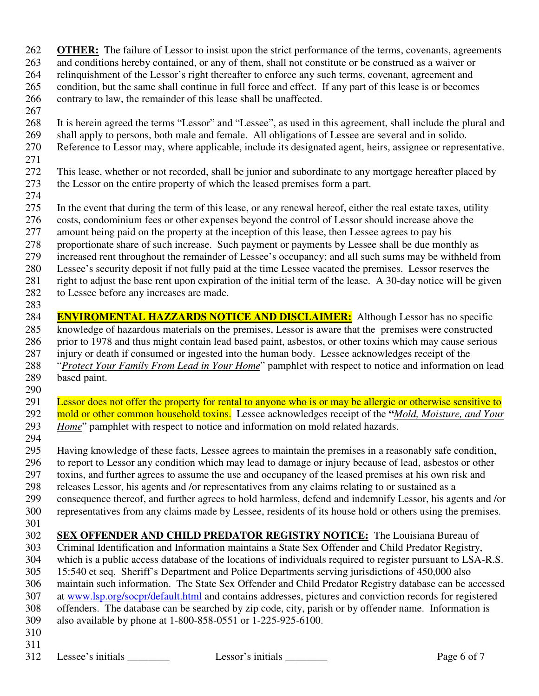- 262 **OTHER:** The failure of Lessor to insist upon the strict performance of the terms, covenants, agreements
- 263 and conditions hereby contained, or any of them, shall not constitute or be construed as a waiver or
- 264 relinquishment of the Lessor's right thereafter to enforce any such terms, covenant, agreement and 265 condition, but the same shall continue in full force and effect. If any part of this lease is or becomes 266 contrary to law, the remainder of this lease shall be unaffected.
- 267

268 It is herein agreed the terms "Lessor" and "Lessee", as used in this agreement, shall include the plural and 269 shall apply to persons, both male and female. All obligations of Lessee are several and in solido. 270 Reference to Lessor may, where applicable, include its designated agent, heirs, assignee or representative.

271

272 This lease, whether or not recorded, shall be junior and subordinate to any mortgage hereafter placed by 273 the Lessor on the entire property of which the leased premises form a part.

- 274 275 In the event that during the term of this lease, or any renewal hereof, either the real estate taxes, utility 276 costs, condominium fees or other expenses beyond the control of Lessor should increase above the
- 277 amount being paid on the property at the inception of this lease, then Lessee agrees to pay his
- 278 proportionate share of such increase. Such payment or payments by Lessee shall be due monthly as
- 279 increased rent throughout the remainder of Lessee's occupancy; and all such sums may be withheld from
- 280 Lessee's security deposit if not fully paid at the time Lessee vacated the premises. Lessor reserves the
- 281 right to adjust the base rent upon expiration of the initial term of the lease. A 30-day notice will be given
- 282 to Lessee before any increases are made.
- 283

284 **ENVIROMENTAL HAZZARDS NOTICE AND DISCLAIMER:** Although Lessor has no specific knowledge of hazardous materials on the premises. Lessor is aware that the premises were constructed knowledge of hazardous materials on the premises, Lessor is aware that the premises were constructed 286 prior to 1978 and thus might contain lead based paint, asbestos, or other toxins which may cause serious 287 injury or death if consumed or ingested into the human body. Lessee acknowledges receipt of the 288 "*Protect Your Family From Lead in Your Home*" pamphlet with respect to notice and information on lead 289 based paint. 290

- 291 Lessor does not offer the property for rental to anyone who is or may be allergic or otherwise sensitive to 292 mold or other common household toxins. Lessee acknowledges receipt of the "*Mold, Moisture, and Your* 293 Home" pamplet with respect to notice and information on mold related hazards. *Home*" pamphlet with respect to notice and information on mold related hazards.
- 294 295 Having knowledge of these facts, Lessee agrees to maintain the premises in a reasonably safe condition, 296 to report to Lessor any condition which may lead to damage or injury because of lead, asbestos or other
- 297 toxins, and further agrees to assume the use and occupancy of the leased premises at his own risk and
- 
- 298 releases Lessor, his agents and /or representatives from any claims relating to or sustained as a<br>299 consequence thereof, and further agrees to hold harmless, defend and indemnify Lessor, his age 299 consequence thereof, and further agrees to hold harmless, defend and indemnify Lessor, his agents and /or 300 representatives from any claims made by Lessee, residents of its house hold or others using the premises.
- 301
- 
- **SEX OFFENDER AND CHILD PREDATOR REGISTRY NOTICE:** The Louisiana Bureau of Criminal Identification and Information maintains a State Sex Offender and Child Predator Registry. 303 Criminal Identification and Information maintains a State Sex Offender and Child Predator Registry, 304 which is a public access database of the locations of individuals required to register pursuant to LSA-R.S.
	- 305 15:540 et seq. Sheriff's Department and Police Departments serving jurisdictions of 450,000 also 306 maintain such information. The State Sex Offender and Child Predator Registry database can be accessed
	- 307 at www.lsp.org/socpr/default.html and contains addresses, pictures and conviction records for registered
	- 308 offenders. The database can be searched by zip code, city, parish or by offender name. Information is 309 also available by phone at 1-800-858-0551 or 1-225-925-6100.
	- 310
	- 311

312 Lessee's initials Lessor's initials Lessor's initials Page 6 of 7